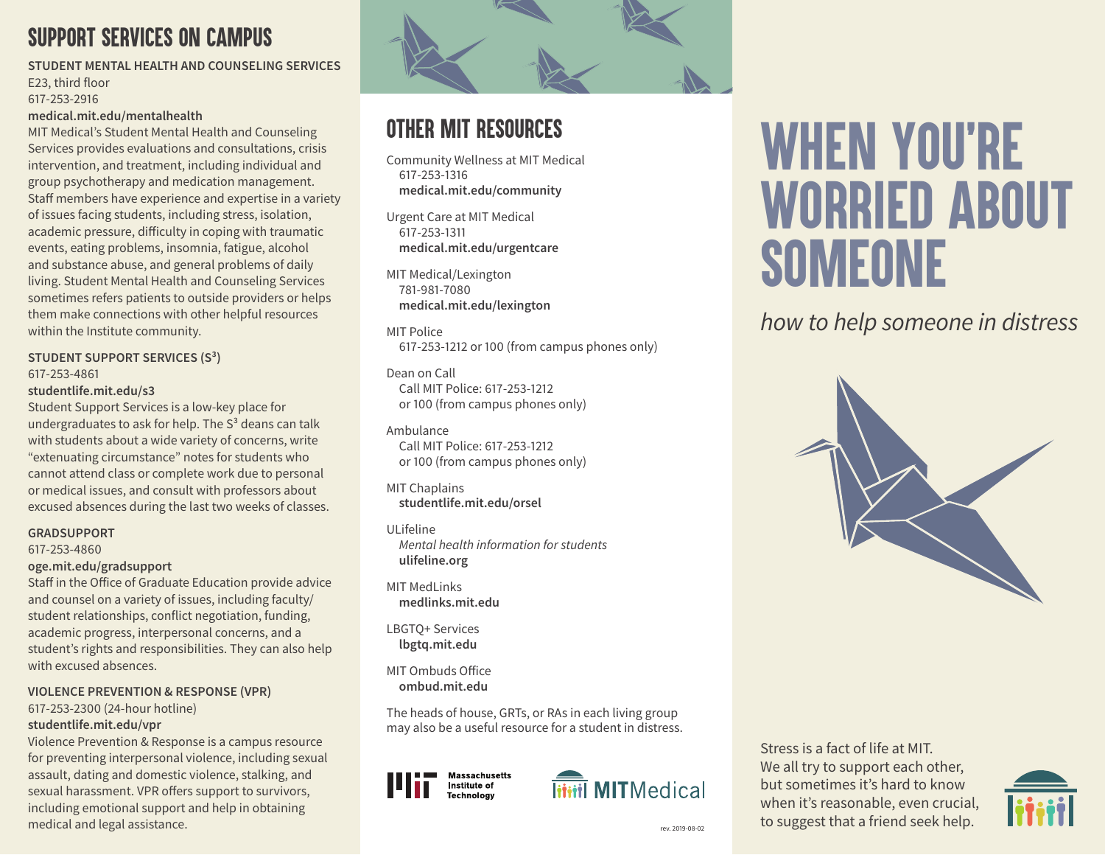# *SUPPORT SERVICES ON CAMPUS*

**STUDENT MENTAL HEALTH AND COUNSELING SERVICES** E23, third floor 617-253-2916 **medical.mit.edu/mentalhealth**

MIT Medical's Student Mental Health and Counseling Services provides evaluations and consultations, crisis intervention, and treatment, including individual and group psychotherapy and medication management. Staff members have experience and expertise in a variety of issues facing students, including stress, isolation, academic pressure, difficulty in coping with traumatic events, eating problems, insomnia, fatigue, alcohol and substance abuse, and general problems of daily living. Student Mental Health and Counseling Services sometimes refers patients to outside providers or helps them make connections with other helpful resources within the Institute community.

### **STUDENT SUPPORT SERVICES (S³)** 617-253-4861

#### **studentlife.mit.edu/s3**

Student Support Services is a low-key place for undergraduates to ask for help. The  $S<sup>3</sup>$  deans can talk with students about a wide variety of concerns, write "extenuating circumstance" notes for students who cannot attend class or complete work due to personal or medical issues, and consult with professors about excused absences during the last two weeks of classes.

### **GRADSUPPORT**

617-253-4860

### **oge.mit.edu/gradsupport**

Staff in the Office of Graduate Education provide advice and counsel on a variety of issues, including faculty/ student relationships, conflict negotiation, funding, academic progress, interpersonal concerns, and a student's rights and responsibilities. They can also help with excused absences.

### **VIOLENCE PREVENTION & RESPONSE (VPR)**

617-253-2300 (24-hour hotline)

### **studentlife.mit.edu/vpr**

Violence Prevention & Response is a campus resource for preventing interpersonal violence, including sexual assault, dating and domestic violence, stalking, and sexual harassment. VPR offers support to survivors, including emotional support and help in obtaining medical and legal assistance.



# *OTHER MIT RESOURCES*

Community Wellness at MIT Medical 617-253-1316 **medical.mit.edu/community**

Urgent Care at MIT Medical 617-253-1311 **medical.mit.edu/urgentcare**

MIT Medical/Lexington 781-981-7080 **medical.mit.edu/lexington**

MIT Police 617-253-1212 or 100 (from campus phones only)

Dean on Call Call MIT Police: 617-253-1212 or 100 (from campus phones only)

Ambulance Call MIT Police: 617-253-1212 or 100 (from campus phones only)

MIT Chaplains **studentlife.mit.edu/orsel**

### ULifeline

*Mental health information for students* **ulifeline.org** 

MIT MedLinks **medlinks.mit.edu**

LBGTQ+ Services **lbgtq.mit.edu**

MIT Ombuds Office **ombud.mit.edu**

The heads of house, GRTs, or RAs in each living group may also be a useful resource for a student in distress.





# *WHEN YOU´RE WORRIED ABOUT SOMEONE*

*how to help someone in distress*



Stress is a fact of life at MIT. We all try to support each other, but sometimes it's hard to know when it's reasonable, even crucial, rev. 2019-08-02<br>rev. 2019-08-02<br>**to suggest that a friend seek help.**